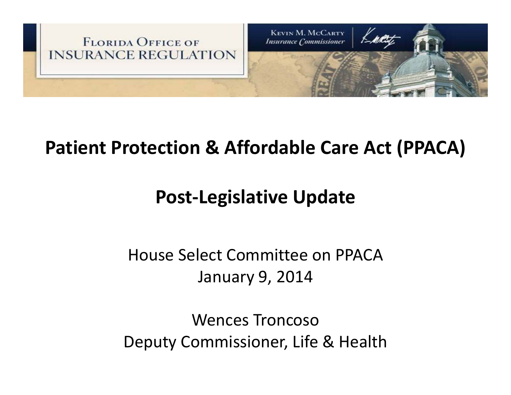

#### **Patient Protection & Affordable Care Act (PPACA)**

#### **Post‐Legislative Update**

#### House Select Committee on PPACAJanuary 9, 2014

Wences TroncosoDeputy Commissioner, Life & Health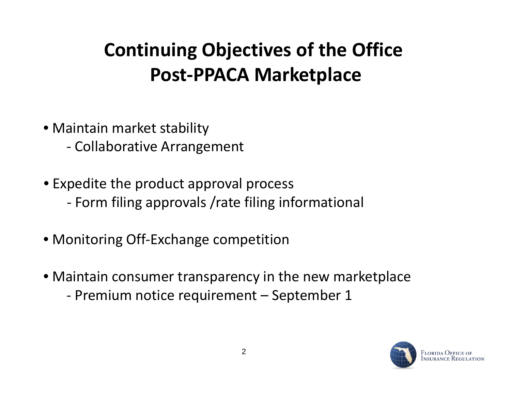## **Continuing Objectives of the Office Post‐PPACA Marketplace**

- Maintain market stability
	- ‐ Collaborative Arrangement
- Expedite the product approval process
	- ‐ Form filing approvals /rate filing informational
- Monitoring Off‐Exchange competition
- $\bullet$  Maintain consumer transparency in the new marketplace
	- ‐ Premium notice requirement September 1

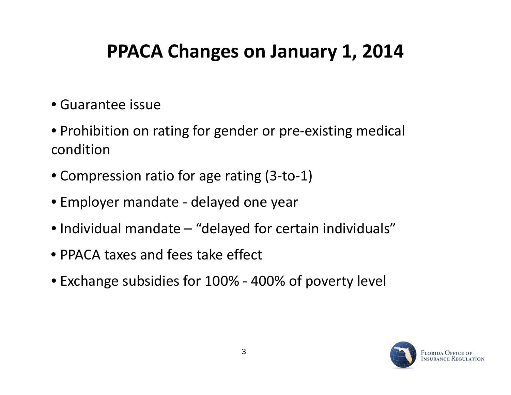### **PPACA Changes on January 1, 2014**

- Guarantee issue
- Prohibition on rating for gender or pre‐existing medical condition
- Compression ratio for age rating (3-to-1)
- Employer mandate ‐ delayed one year
- Individual mandate "delayed for certain individuals"
- PPACA taxes and fees take effect
- Exchange subsidies for 100% ‐ 400% of poverty level

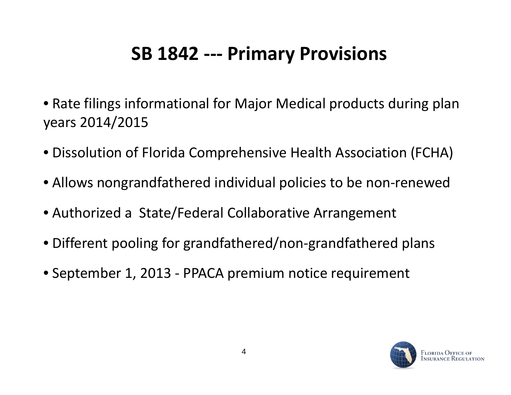#### **SB 1842 ‐‐‐ Primary Provisions**

- Rate filings informational for Major Medical products during plan years 2014/2015
- Dissolution of Florida Comprehensive Health Association (FCHA)
- Allows nongrandfathered individual policies to be non‐renewed
- Authorized <sup>a</sup> State/Federal Collaborative Arrangement
- Different pooling for grandfathered/non‐grandfathered plans
- September 1, 2013 ‐ PPACA premium notice requirement

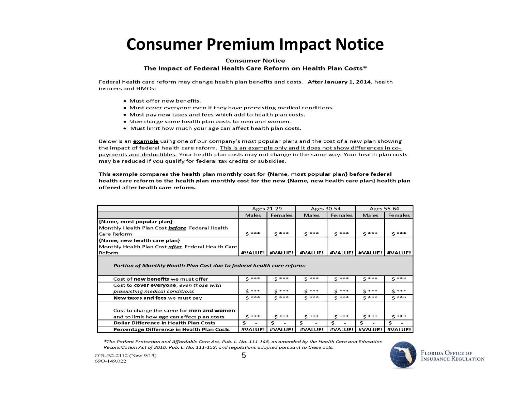#### **Consumer Premium Impact Notice**

#### **Consumer Notice**

#### The Impact of Federal Health Care Reform on Health Plan Costs\*

Federal health care reform may change health plan benefits and costs. After January 1, 2014, health insurers and HMOs:

- Must offer new benefits.
- Must cover everyone even if they have preexisting medical conditions.
- Must pay new taxes and fees which add to health plan costs.
- . Must charge same health plan costs to men and women.
- Must limit how much your age can affect health plan costs.

Below is an example using one of our company's most popular plans and the cost of a new plan showing the impact of federal health care reform. This is an example only and it does not show differences in copayments and deductibles. Your health plan costs may not change in the same way. Your health plan costs may be reduced if you qualify for federal tax credits or subsidies.

This example compares the health plan monthly cost for {Name, most popular plan} before federal health care reform to the health plan monthly cost for the new {Name, new health care plan} health plan offered after health care reform.

|                                                                                                                                          | <b>Ages 21-29</b> |                 | Ages 30-54   |                  |              | Ages 55-64    |
|------------------------------------------------------------------------------------------------------------------------------------------|-------------------|-----------------|--------------|------------------|--------------|---------------|
|                                                                                                                                          | <b>Males</b>      | Females         | <b>Males</b> | Females          | <b>Males</b> | Females       |
| {Name, most popular plan}                                                                                                                |                   |                 |              |                  |              |               |
| Monthly Health Plan Cost <b>before</b> Federal Health                                                                                    |                   |                 |              |                  |              |               |
| lCare Reform                                                                                                                             | $5***$            | $5***$          | $5***$       | $S$ ***          | $5***$       | \$***         |
| {Name, new health care plan}                                                                                                             |                   |                 |              |                  |              |               |
| Monthly Health Plan Cost <b>after</b> Federal Health Care                                                                                |                   |                 |              |                  |              |               |
| Reform                                                                                                                                   |                   | #VALUE! #VALUE! | #VALUE!      | #VALUE!          | #VALUE!      | #VALUE!       |
| Portion of Monthly Health Plan Cost due to federal health care reform:<br>Cost of new benefits we must offer                             | $5***$            | $5***$          | $5***$       | $5***$           | $5***$       | $5***$        |
| Cost to cover everyone, even those with                                                                                                  |                   |                 |              |                  |              |               |
| preexisting medical conditions                                                                                                           | $5***$            | $5***$          | ***<br>Ś.    | $5***$           | $5***$       | $5***$        |
| New taxes and fees we must pay                                                                                                           | $S$ ***           | $5***$          | $5***$       | $\zeta$ ***      | $\zeta$ ***  | $5***$        |
| Cost to charge the same for men and women<br>and to limit how age can affect plan costs<br><b>Dollar Difference in Health Plan Costs</b> | $5***$<br>\$.     | $5***$<br>\$    | $5***$<br>\$ | $5***$<br>Ś<br>۰ | $5***$<br>Ś  | $5***$<br>\$. |
| Percentage Difference in Health Plan Costs                                                                                               | #VALUE!           | #VALUE!         | #VALUE!      | #VALUE!          | #VALUE!      | #VALUE!       |

\*The Patient Protection and Affordable Care Act, Pub. L. No. 111-148, as amended by the Health Care and Education Reconciliation Act of 2010, Pub. L. No. 111-152, and regulations adopted pursuant to these acts.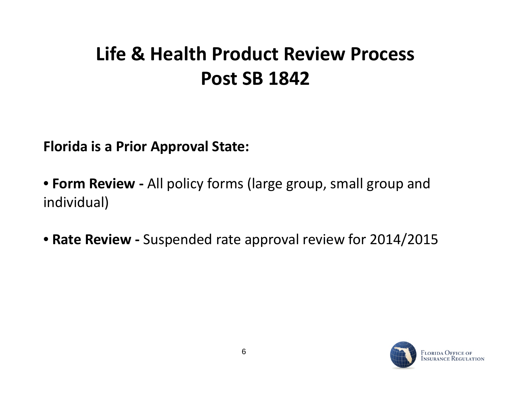### **Life & Health Product Review Process Post SB 1842**

**Florida is <sup>a</sup> Prior Approval State:**

• **Form Review ‐** All policy forms (large group, small group and individual)

• **Rate Review ‐** Suspended rate approval review for 2014/2015

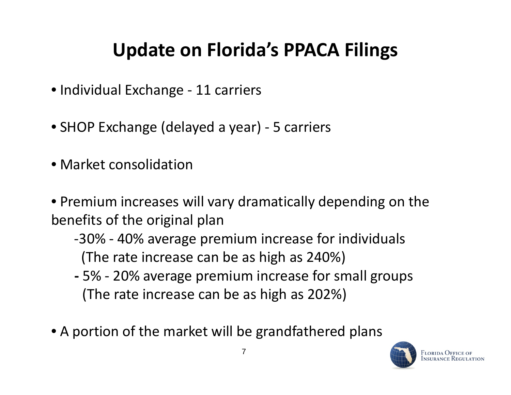## **Update on Florida's PPACA Filings**

- Individual Exchange ‐ 11 carriers
- SHOP Exchange (delayed a year) 5 carriers
- Market consolidation
- Premium increases will vary dramatically depending on the benefits of the original plan
	- ‐30% ‐ 40% average premium increase for individuals (The rate increase can be as high as 240%)
	- **‐** 5% ‐ 20% average premium increase for small groups (The rate increase can be as high as 202%)
- A portion of the market will be grandfathered plans

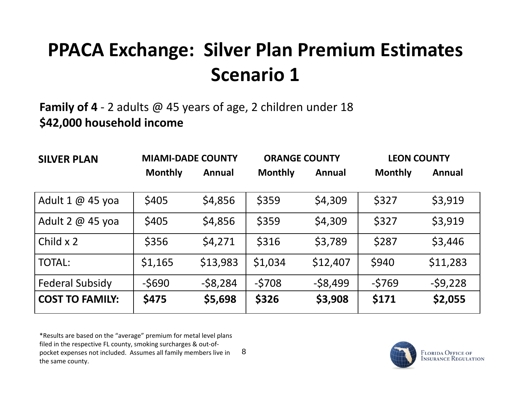### **PPACA Exchange: Silver Plan Premium Estimates Scenario 1**

**Family of 4** ‐ 2 adults @ 45 years of age, 2 children under 18 **\$42 000 household income \$42,000**

| <b>SILVER PLAN</b>      | <b>MIAMI-DADE COUNTY</b> |               | <b>ORANGE COUNTY</b> |           | <b>LEON COUNTY</b> |               |  |
|-------------------------|--------------------------|---------------|----------------------|-----------|--------------------|---------------|--|
|                         | <b>Monthly</b>           | <b>Annual</b> | <b>Monthly</b>       | Annual    | <b>Monthly</b>     | <b>Annual</b> |  |
| Adult $1 \omega$ 45 yoa | \$405                    | \$4,856       | \$359                | \$4,309   | \$327              | \$3,919       |  |
| Adult 2 $@$ 45 yoa      | \$405                    | \$4,856       | \$359                | \$4,309   | \$327              | \$3,919       |  |
| Child $\times$ 2        | \$356                    | \$4,271       | \$316                | \$3,789   | \$287              | \$3,446       |  |
| <b>TOTAL:</b>           | \$1,165                  | \$13,983      | \$1,034              | \$12,407  | \$940              | \$11,283      |  |
| <b>Federal Subsidy</b>  | $-5690$                  | $-58,284$     | $-5708$              | $-58,499$ | $-5769$            | $-59,228$     |  |
| <b>COST TO FAMILY:</b>  | \$475                    | \$5,698       | \$326                | \$3,908   | \$171              | \$2,055       |  |

8\*Results are based on the "average" premium for metal level plans filed in the respective FL county, smoking surcharges & out‐of‐ pocket expenses not included. Assumes all family members live in the same county.

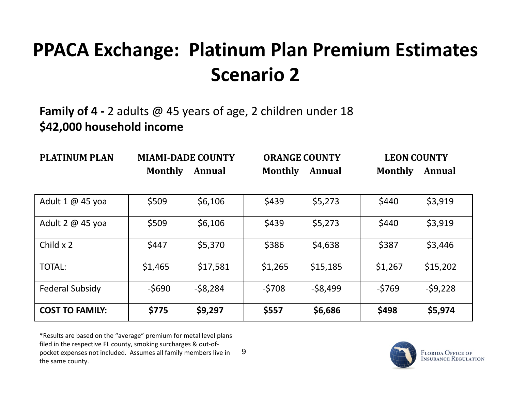### **PPACA Exchange: Platinum Plan Premium Estimates Scenario 2**

#### **Family of 4 ‐** 2 adults @ 45 years of age, 2 children under 18 **\$42 000 \$42,000h h ld ouseholdincome**

| <b>PLATINUM PLAN</b>   | <b>MIAMI-DADE COUNTY</b> |               | <b>ORANGE COUNTY</b> |           | <b>LEON COUNTY</b> |           |  |
|------------------------|--------------------------|---------------|----------------------|-----------|--------------------|-----------|--|
|                        | <b>Monthly</b>           | <b>Annual</b> | <b>Monthly</b>       | Annual    | <b>Monthly</b>     | Annual    |  |
|                        |                          |               |                      |           |                    |           |  |
| Adult 1 @ 45 yoa       | \$509                    | \$6,106       | \$439                | \$5,273   | \$440              | \$3,919   |  |
| Adult 2 @ 45 yoa       | \$509                    | \$6,106       | \$439                | \$5,273   | \$440              | \$3,919   |  |
| Child $\times$ 2       | \$447                    | \$5,370       | \$386                | \$4,638   | \$387              | \$3,446   |  |
| <b>TOTAL:</b>          | \$1,465                  | \$17,581      | \$1,265              | \$15,185  | \$1,267            | \$15,202  |  |
| <b>Federal Subsidy</b> | $-5690$                  | $-$ \$8,284   | $-5708$              | $-58,499$ | $-5769$            | $-59,228$ |  |
| <b>COST TO FAMILY:</b> | \$775                    | \$9,297       | \$557                | \$6,686   | \$498              | \$5,974   |  |

9\*Results are based on the "average" premium for metal level plans filed in the respective FL county, smoking surcharges & out‐of‐ pocket expenses not included. Assumes all family members live in the same county.

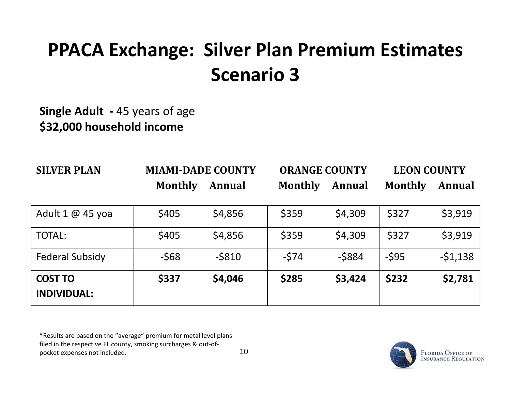### **PPACA Exchange: Silver Plan Premium Estimates Scenario 3**

#### **Single Adult ‐** 45 years of age **\$32 000 \$32,000h h ld ouseholdincome**

| <b>SILVER PLAN</b>                   | <b>MIAMI-DADE COUNTY</b> |               | <b>ORANGE COUNTY</b> |               | <b>LEON COUNTY</b> |               |
|--------------------------------------|--------------------------|---------------|----------------------|---------------|--------------------|---------------|
|                                      | <b>Monthly</b>           | <b>Annual</b> | <b>Monthly</b>       | <b>Annual</b> | <b>Monthly</b>     | <b>Annual</b> |
| Adult $1 \omega$ 45 yoa              | \$405                    | \$4,856       | \$359                | \$4,309       | \$327              | \$3,919       |
| <b>TOTAL:</b>                        | \$405                    | \$4,856       | \$359                | \$4,309       | \$327              | \$3,919       |
| <b>Federal Subsidy</b>               | $-568$                   | $-5810$       | $-574$               | $-5884$       | $-595$             | $-51,138$     |
| <b>COST TO</b><br><b>INDIVIDUAL:</b> | \$337                    | \$4,046       | \$285                | \$3,424       | \$232              | \$2,781       |

\*Results are based on the "average" premium for metal level plans filed in the respective FL county, smoking surcharges & out‐of‐ pocket expenses not included.

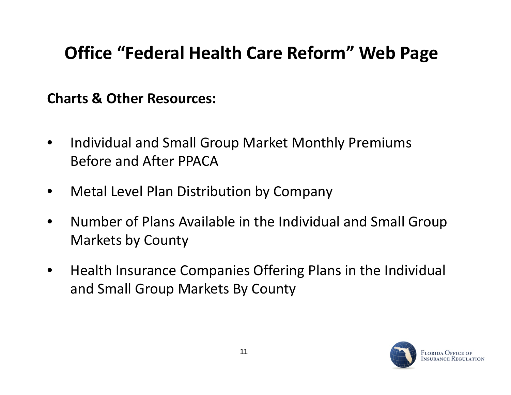#### **Office "Federal Health Care Reform" Web Page**

**Charts & Other Resources:**

- $\bullet$ • Individual and Small Group Market Monthly Premiums Before and After PPACA
- $\bullet$ Metal Level Plan Distribution by Company
- $\bullet$  Number of Plans Available in the Individual and Small Group Markets by County
- $\bullet$ **•** Health Insurance Companies Offering Plans in the Individual and Small Group Markets By County

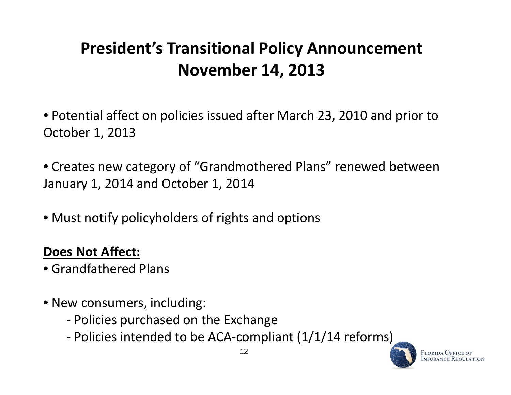#### **President's Transitional Policy Announcement November 14, 2013**

• Potential affect on policies issued after March 23, 2010 and prior to October 1, 2013

• Creates new category of "Grandmothered Plans" renewed between January 1, 2014 and October 1, 2014

• Must notify policyholders of rights and options

#### **Does Not Affect:**

- Grandfathered Plans
- New consumers, including:
	- ‐ Policies purchased on the Exchange
	- ‐ Policies intended to be ACA‐compliant (1/1/14 reforms)



<sup>7</sup>lorida Office of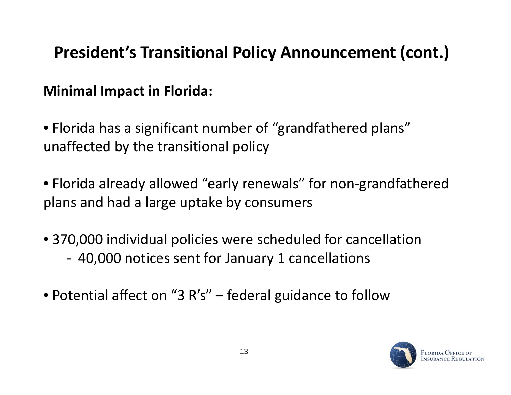#### **President's Transitional Policy Announcement (cont.)**

#### **Minimal Impact in Florida:**

 $\bullet$  Florida has a significant number of "grandfathered plans" unaffected by the transitional policy

• Florida already allowed "early renewals" for non‐grandfathered plans and had <sup>a</sup> large uptake by consumers

- 370,000 individual policies were scheduled for cancellation ‐40,000 notices sent for January 1 cancellations
- Potential affect on "3 R's" federal guidance to follow